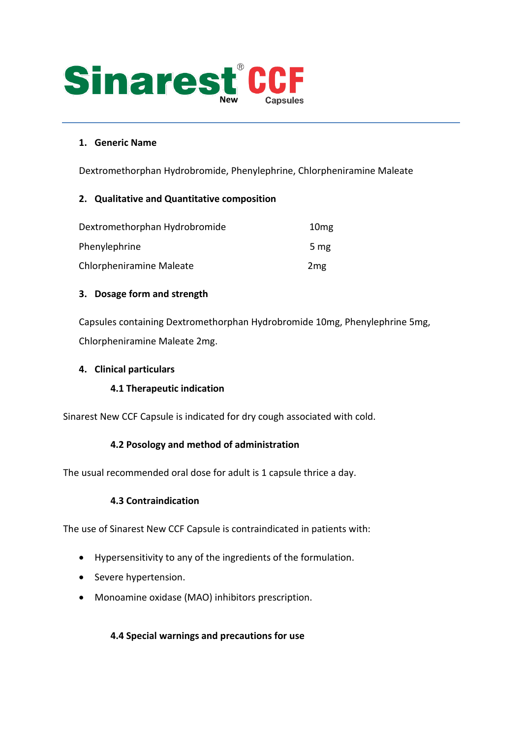

#### **1. Generic Name**

Dextromethorphan Hydrobromide, Phenylephrine, Chlorpheniramine Maleate

#### **2. Qualitative and Quantitative composition**

| Dextromethorphan Hydrobromide | 10 <sub>mg</sub> |
|-------------------------------|------------------|
| Phenylephrine                 | 5 mg             |
| Chlorpheniramine Maleate      | 2 <sub>mg</sub>  |

#### **3. Dosage form and strength**

Capsules containing Dextromethorphan Hydrobromide 10mg, Phenylephrine 5mg, Chlorpheniramine Maleate 2mg.

#### **4. Clinical particulars**

# **4.1 Therapeutic indication**

Sinarest New CCF Capsule is indicated for dry cough associated with cold.

# **4.2 Posology and method of administration**

The usual recommended oral dose for adult is 1 capsule thrice a day.

# **4.3 Contraindication**

The use of Sinarest New CCF Capsule is contraindicated in patients with:

- Hypersensitivity to any of the ingredients of the formulation.
- Severe hypertension.
- Monoamine oxidase (MAO) inhibitors prescription.

# **4.4 Special warnings and precautions for use**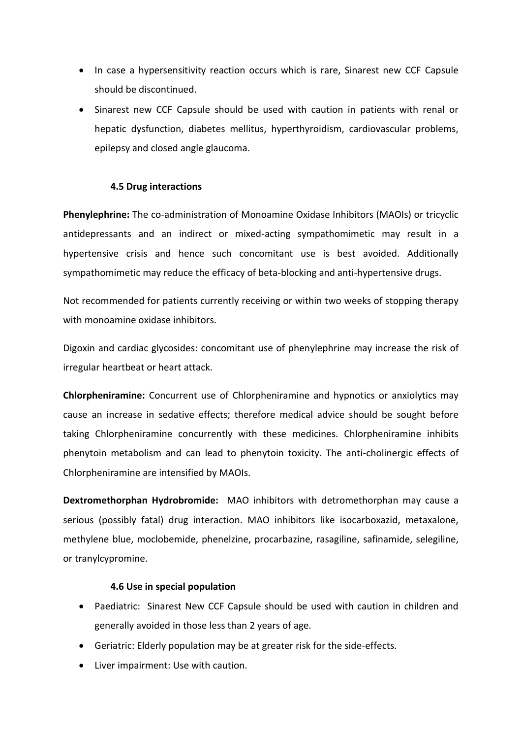- In case a hypersensitivity reaction occurs which is rare, Sinarest new CCF Capsule should be discontinued.
- Sinarest new CCF Capsule should be used with caution in patients with renal or hepatic dysfunction, diabetes mellitus, hyperthyroidism, cardiovascular problems, epilepsy and closed angle glaucoma.

#### **4.5 Drug interactions**

**Phenylephrine:** The co-administration of Monoamine Oxidase Inhibitors (MAOIs) or tricyclic antidepressants and an indirect or mixed-acting sympathomimetic may result in a hypertensive crisis and hence such concomitant use is best avoided. Additionally sympathomimetic may reduce the efficacy of beta-blocking and anti-hypertensive drugs.

Not recommended for patients currently receiving or within two weeks of stopping therapy with monoamine oxidase inhibitors.

Digoxin and cardiac glycosides: concomitant use of phenylephrine may increase the risk of irregular heartbeat or heart attack.

**Chlorpheniramine:** Concurrent use of Chlorpheniramine and hypnotics or anxiolytics may cause an increase in sedative effects; therefore medical advice should be sought before taking Chlorpheniramine concurrently with these medicines. Chlorpheniramine inhibits phenytoin metabolism and can lead to phenytoin toxicity. The anti-cholinergic effects of Chlorpheniramine are intensified by MAOIs.

**Dextromethorphan Hydrobromide:** MAO inhibitors with detromethorphan may cause a serious (possibly fatal) drug interaction. MAO inhibitors like isocarboxazid, metaxalone, methylene blue, moclobemide, phenelzine, procarbazine, rasagiline, safinamide, selegiline, or tranylcypromine.

#### **4.6 Use in special population**

- Paediatric: Sinarest New CCF Capsule should be used with caution in children and generally avoided in those less than 2 years of age.
- Geriatric: Elderly population may be at greater risk for the side-effects.
- Liver impairment: Use with caution.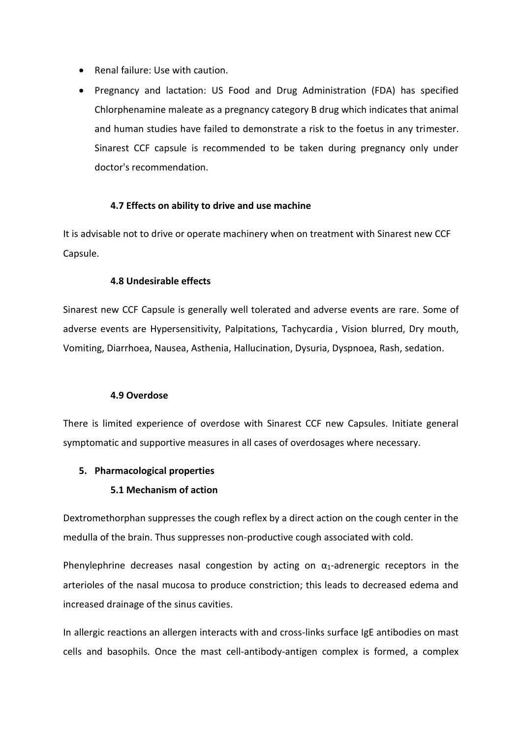- Renal failure: Use with caution.
- Pregnancy and lactation: US Food and Drug Administration (FDA) has specified Chlorphenamine maleate as a pregnancy category B drug which indicates that animal and human studies have failed to demonstrate a risk to the foetus in any trimester. Sinarest CCF capsule is recommended to be taken during pregnancy only under doctor's recommendation.

#### **4.7 Effects on ability to drive and use machine**

It is advisable not to drive or operate machinery when on treatment with Sinarest new CCF Capsule.

#### **4.8 Undesirable effects**

Sinarest new CCF Capsule is generally well tolerated and adverse events are rare. Some of adverse events are Hypersensitivity, Palpitations, Tachycardia , Vision blurred, Dry mouth, Vomiting, Diarrhoea, Nausea, Asthenia, Hallucination, Dysuria, Dyspnoea, Rash, sedation.

#### **4.9 Overdose**

There is limited experience of overdose with Sinarest CCF new Capsules. Initiate general symptomatic and supportive measures in all cases of overdosages where necessary.

#### **5. Pharmacological properties**

#### **5.1 Mechanism of action**

Dextromethorphan suppresses the cough reflex by a direct action on the cough center in the medulla of the brain. Thus suppresses non-productive cough associated with cold.

Phenylephrine decreases nasal congestion by acting on  $\alpha_1$ -adrenergic receptors in the arterioles of the nasal mucosa to produce constriction; this leads to decreased edema and increased drainage of the sinus cavities.

In allergic reactions an allergen interacts with and cross-links surface IgE antibodies on mast cells and basophils. Once the mast cell-antibody-antigen complex is formed, a complex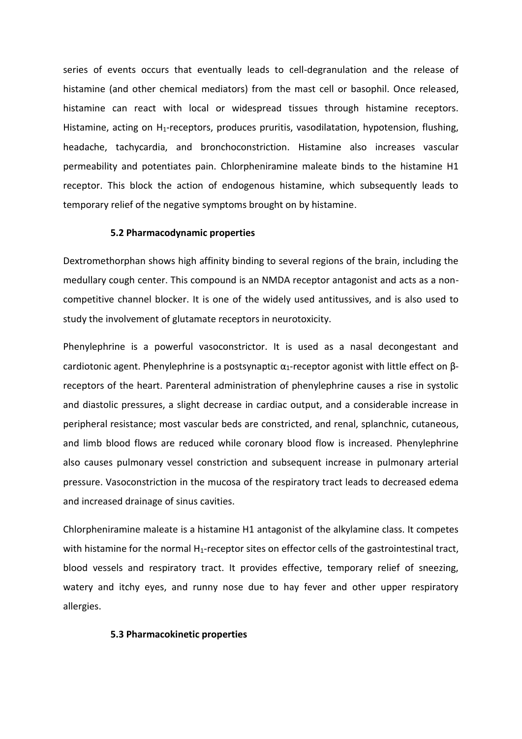series of events occurs that eventually leads to cell-degranulation and the release of histamine (and other chemical mediators) from the mast cell or basophil. Once released, histamine can react with local or widespread tissues through histamine receptors. Histamine, acting on H<sub>1</sub>-receptors, produces pruritis, vasodilatation, hypotension, flushing, headache, tachycardia, and bronchoconstriction. Histamine also increases vascular permeability and potentiates pain. Chlorpheniramine maleate binds to the histamine H1 receptor. This block the action of endogenous histamine, which subsequently leads to temporary relief of the negative symptoms brought on by histamine.

#### **5.2 Pharmacodynamic properties**

Dextromethorphan shows high affinity binding to several regions of the brain, including the medullary cough center. This compound is an NMDA receptor antagonist and acts as a noncompetitive channel blocker. It is one of the widely used antitussives, and is also used to study the involvement of glutamate receptors in neurotoxicity.

Phenylephrine is a powerful vasoconstrictor. It is used as a nasal decongestant and cardiotonic agent. Phenylephrine is a postsynaptic  $\alpha_1$ -receptor agonist with little effect on  $\beta$ receptors of the heart. Parenteral administration of phenylephrine causes a rise in systolic and diastolic pressures, a slight decrease in cardiac output, and a considerable increase in peripheral resistance; most vascular beds are constricted, and renal, splanchnic, cutaneous, and limb blood flows are reduced while coronary blood flow is increased. Phenylephrine also causes pulmonary vessel constriction and subsequent increase in pulmonary arterial pressure. Vasoconstriction in the mucosa of the respiratory tract leads to decreased edema and increased drainage of sinus cavities.

Chlorpheniramine maleate is a histamine H1 antagonist of the alkylamine class. It competes with histamine for the normal H<sub>1</sub>-receptor sites on effector cells of the gastrointestinal tract, blood vessels and respiratory tract. It provides effective, temporary relief of sneezing, watery and itchy eyes, and runny nose due to hay fever and other upper respiratory allergies.

#### **5.3 Pharmacokinetic properties**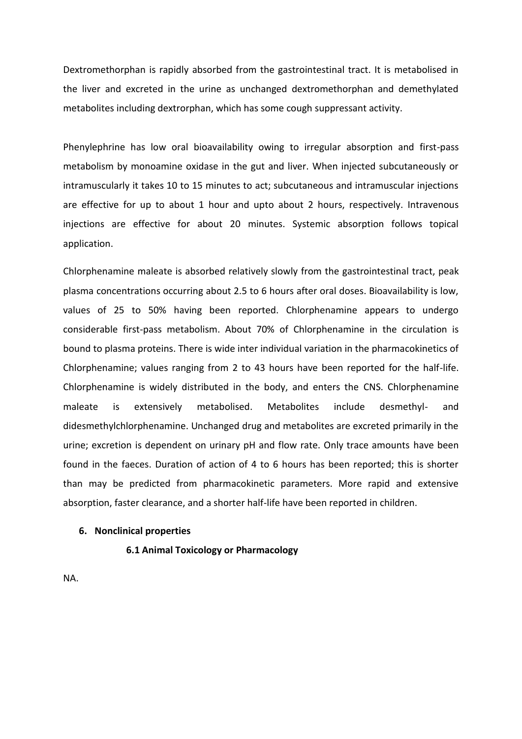Dextromethorphan is rapidly absorbed from the gastrointestinal tract. It is metabolised in the liver and excreted in the urine as unchanged dextromethorphan and demethylated metabolites including dextrorphan, which has some cough suppressant activity.

Phenylephrine has low oral bioavailability owing to irregular absorption and first-pass metabolism by monoamine oxidase in the gut and liver. When injected subcutaneously or intramuscularly it takes 10 to 15 minutes to act; subcutaneous and intramuscular injections are effective for up to about 1 hour and upto about 2 hours, respectively. Intravenous injections are effective for about 20 minutes. Systemic absorption follows topical application.

Chlorphenamine maleate is absorbed relatively slowly from the gastrointestinal tract, peak plasma concentrations occurring about 2.5 to 6 hours after oral doses. Bioavailability is low, values of 25 to 50% having been reported. Chlorphenamine appears to undergo considerable first-pass metabolism. About 70% of Chlorphenamine in the circulation is bound to plasma proteins. There is wide inter individual variation in the pharmacokinetics of Chlorphenamine; values ranging from 2 to 43 hours have been reported for the half-life. Chlorphenamine is widely distributed in the body, and enters the CNS. Chlorphenamine maleate is extensively metabolised. Metabolites include desmethyl- and didesmethylchlorphenamine. Unchanged drug and metabolites are excreted primarily in the urine; excretion is dependent on urinary pH and flow rate. Only trace amounts have been found in the faeces. Duration of action of 4 to 6 hours has been reported; this is shorter than may be predicted from pharmacokinetic parameters. More rapid and extensive absorption, faster clearance, and a shorter half-life have been reported in children.

#### **6. Nonclinical properties**

**6.1 Animal Toxicology or Pharmacology**

NA.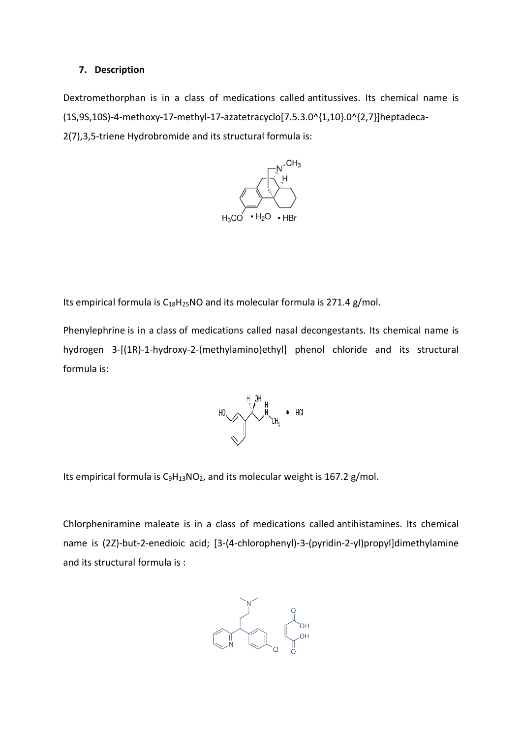#### **7. Description**

Dextromethorphan is in a class of medications called antitussives. Its chemical name is (1S,9S,10S)-4-methoxy-17-methyl-17-azatetracyclo[7.5.3.0^{1,10}.0^{2,7}]heptadeca-2(7),3,5-triene Hydrobromide and its structural formula is:



Its empirical formula is  $C_{18}H_{25}NO$  and its molecular formula is 271.4 g/mol.

Phenylephrine is in a class of medications called nasal decongestants. Its chemical name is hydrogen 3-[(1R)-1-hydroxy-2-(methylamino)ethyl] phenol chloride and its structural formula is:



Its empirical formula is  $C_9H_{13}NO_2$  $C_9H_{13}NO_2$  $C_9H_{13}NO_2$ , and its molecular weight is 167.2 g/mol.

Chlorpheniramine maleate is in a class of medications called antihistamines. Its chemical name is (2Z)-but-2-enedioic acid; [3-(4-chlorophenyl)-3-(pyridin-2-yl)propyl]dimethylamine and its structural formula is :

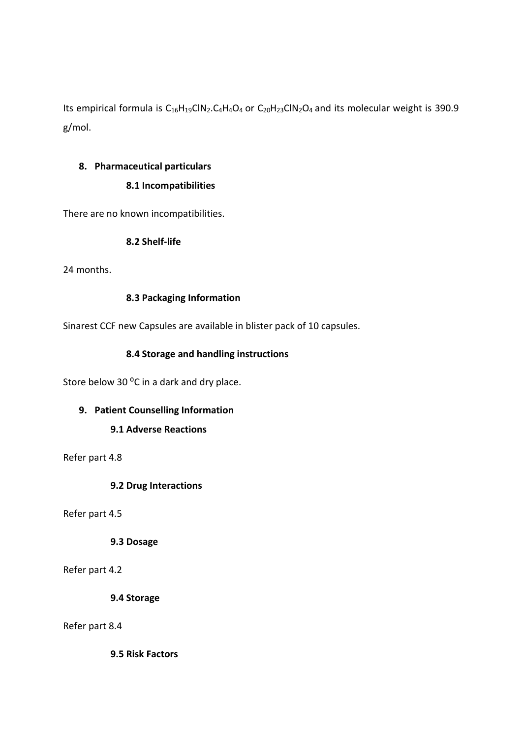Its empirical formula is C<sub>16</sub>H<sub>19</sub>ClN<sub>2</sub>.C<sub>4</sub>H<sub>4</sub>O<sub>4</sub> or C<sub>20</sub>H<sub>23</sub>ClN<sub>2</sub>O<sub>4</sub> and its molecular weight is 390.9 g/mol.

# **8. Pharmaceutical particulars**

# **8.1 Incompatibilities**

There are no known incompatibilities.

# **8.2 Shelf-life**

24 months.

# **8.3 Packaging Information**

Sinarest CCF new Capsules are available in blister pack of 10 capsules.

# **8.4 Storage and handling instructions**

Store below 30 °C in a dark and dry place.

# **9. Patient Counselling Information**

# **9.1 Adverse Reactions**

Refer part 4.8

# **9.2 Drug Interactions**

Refer part 4.5

# **9.3 Dosage**

Refer part 4.2

**9.4 Storage**

# Refer part 8.4

**9.5 Risk Factors**